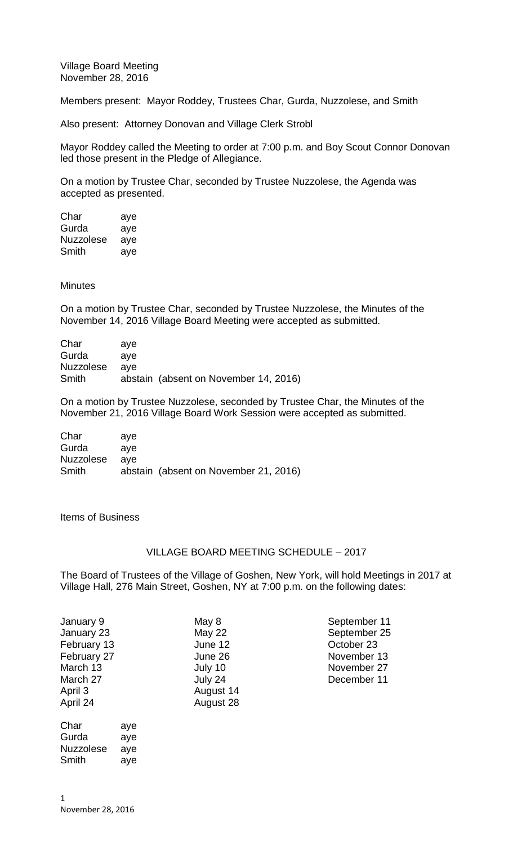Village Board Meeting November 28, 2016

Members present: Mayor Roddey, Trustees Char, Gurda, Nuzzolese, and Smith

Also present: Attorney Donovan and Village Clerk Strobl

Mayor Roddey called the Meeting to order at 7:00 p.m. and Boy Scout Connor Donovan led those present in the Pledge of Allegiance.

On a motion by Trustee Char, seconded by Trustee Nuzzolese, the Agenda was accepted as presented.

| Char             | aye |
|------------------|-----|
| Gurda            | aye |
| <b>Nuzzolese</b> | aye |
| Smith            | aye |

## **Minutes**

On a motion by Trustee Char, seconded by Trustee Nuzzolese, the Minutes of the November 14, 2016 Village Board Meeting were accepted as submitted.

| Char      | ave |                                       |
|-----------|-----|---------------------------------------|
| Gurda     | ave |                                       |
| Nuzzolese | ave |                                       |
| Smith     |     | abstain (absent on November 14, 2016) |

On a motion by Trustee Nuzzolese, seconded by Trustee Char, the Minutes of the November 21, 2016 Village Board Work Session were accepted as submitted.

| Char      | ave |                                       |
|-----------|-----|---------------------------------------|
| Gurda     | ave |                                       |
| Nuzzolese | ave |                                       |
| Smith     |     | abstain (absent on November 21, 2016) |

Items of Business

## VILLAGE BOARD MEETING SCHEDULE – 2017

The Board of Trustees of the Village of Goshen, New York, will hold Meetings in 2017 at Village Hall, 276 Main Street, Goshen, NY at 7:00 p.m. on the following dates:

| January 9   | May 8         | September 11 |
|-------------|---------------|--------------|
| January 23  | <b>May 22</b> | September 25 |
| February 13 | June 12       | October 23   |
| February 27 | June 26       | November 13  |
| March 13    | July 10       | November 27  |
| March 27    | July 24       | December 11  |
| April 3     | August 14     |              |
| April 24    | August 28     |              |
|             |               |              |

Char aye Gurda aye Nuzzolese aye

November 28, 2016